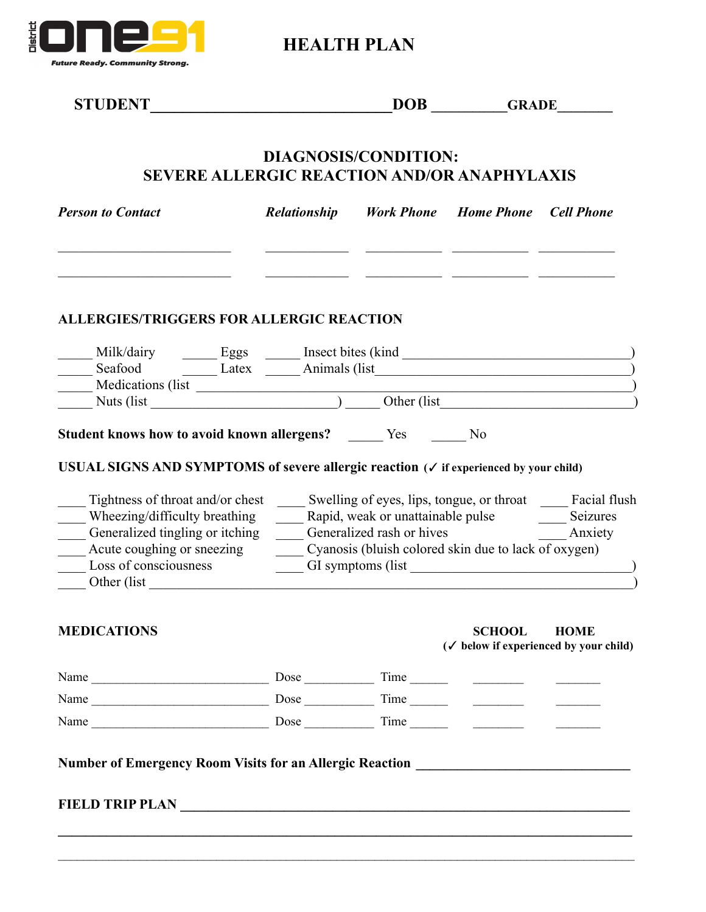

**HEALTH PLAN**

| <b>STUDENT</b><br><u> 1989 - Johann Barbara, martin amerikan basa</u>                                                                                                                                                                                                                                                                                                                                                                                                                                                                                                                                                                     |  |                                               | $\overline{\text{DOB}}$ $\overline{\text{GRADE}}$                   |             |  |  |  |  |  |
|-------------------------------------------------------------------------------------------------------------------------------------------------------------------------------------------------------------------------------------------------------------------------------------------------------------------------------------------------------------------------------------------------------------------------------------------------------------------------------------------------------------------------------------------------------------------------------------------------------------------------------------------|--|-----------------------------------------------|---------------------------------------------------------------------|-------------|--|--|--|--|--|
| DIAGNOSIS/CONDITION:<br><b>SEVERE ALLERGIC REACTION AND/OR ANAPHYLAXIS</b>                                                                                                                                                                                                                                                                                                                                                                                                                                                                                                                                                                |  |                                               |                                                                     |             |  |  |  |  |  |
| <b>Person to Contact</b>                                                                                                                                                                                                                                                                                                                                                                                                                                                                                                                                                                                                                  |  | Relationship Work Phone Home Phone Cell Phone |                                                                     |             |  |  |  |  |  |
| <b>ALLERGIES/TRIGGERS FOR ALLERGIC REACTION</b>                                                                                                                                                                                                                                                                                                                                                                                                                                                                                                                                                                                           |  |                                               |                                                                     |             |  |  |  |  |  |
|                                                                                                                                                                                                                                                                                                                                                                                                                                                                                                                                                                                                                                           |  |                                               |                                                                     |             |  |  |  |  |  |
|                                                                                                                                                                                                                                                                                                                                                                                                                                                                                                                                                                                                                                           |  |                                               |                                                                     |             |  |  |  |  |  |
|                                                                                                                                                                                                                                                                                                                                                                                                                                                                                                                                                                                                                                           |  |                                               |                                                                     |             |  |  |  |  |  |
|                                                                                                                                                                                                                                                                                                                                                                                                                                                                                                                                                                                                                                           |  |                                               |                                                                     |             |  |  |  |  |  |
|                                                                                                                                                                                                                                                                                                                                                                                                                                                                                                                                                                                                                                           |  |                                               |                                                                     |             |  |  |  |  |  |
| Tightness of throat and/or chest _______ Swelling of eyes, lips, tongue, or throat ______ Facial flush<br>Other (list)                                                                                                                                                                                                                                                                                                                                                                                                                                                                                                                    |  |                                               |                                                                     |             |  |  |  |  |  |
| Milk/dairy<br>Seafood<br>Medications (list Latex Latex Latex Latex Latex Latex Latex Latex Latex Latex Latex Latex Latex Latex Latex Latex Latex Latex Latex Latex Latex Latex Latex Latex Latex Latex Latex Latex Latex Latex Lat<br>Student knows how to avoid known allergens? _______ Yes _______ No<br>USUAL SIGNS AND SYMPTOMS of severe allergic reaction (√ if experienced by your child)<br>Wheezing/difficulty breathing<br>Generalized tingling or itching Generalized rash or hives<br>Anxiety<br>_____ Acute coughing or sneezing _______________ Cyanosis (bluish colored skin due to lack of oxygen)<br><b>MEDICATIONS</b> |  |                                               | <b>SCHOOL</b><br>$(\checkmark)$ below if experienced by your child) | <b>HOME</b> |  |  |  |  |  |
|                                                                                                                                                                                                                                                                                                                                                                                                                                                                                                                                                                                                                                           |  |                                               |                                                                     |             |  |  |  |  |  |
|                                                                                                                                                                                                                                                                                                                                                                                                                                                                                                                                                                                                                                           |  |                                               |                                                                     |             |  |  |  |  |  |

 $\mathcal{L}_\mathcal{L} = \mathcal{L}_\mathcal{L} = \mathcal{L}_\mathcal{L} = \mathcal{L}_\mathcal{L} = \mathcal{L}_\mathcal{L} = \mathcal{L}_\mathcal{L} = \mathcal{L}_\mathcal{L} = \mathcal{L}_\mathcal{L} = \mathcal{L}_\mathcal{L} = \mathcal{L}_\mathcal{L} = \mathcal{L}_\mathcal{L} = \mathcal{L}_\mathcal{L} = \mathcal{L}_\mathcal{L} = \mathcal{L}_\mathcal{L} = \mathcal{L}_\mathcal{L} = \mathcal{L}_\mathcal{L} = \mathcal{L}_\mathcal{L}$